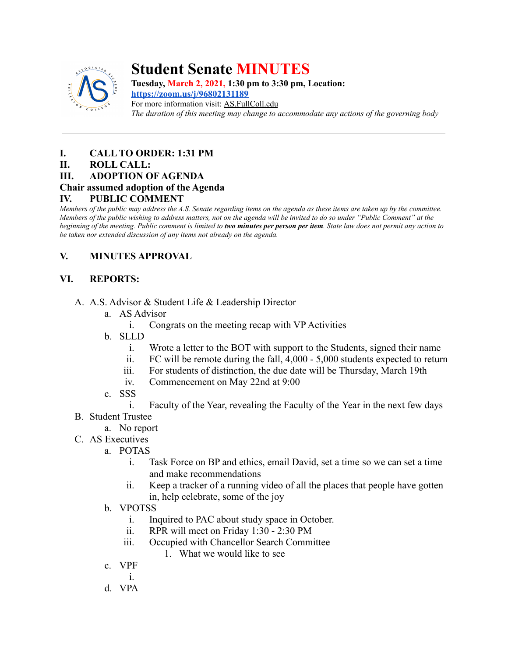

# **Student Senate MINUTES**

**Tuesday, March 2, 2021, 1:30 pm to 3:30 pm, Location: <https://zoom.us/j/96802131189>**

For more information visit: AS.FullColl.edu *The duration of this meeting may change to accommodate any actions of the governing body*

## **I. CALL TO ORDER: 1:31 PM**

## **II. ROLL CALL:**

## **III. ADOPTION OF AGENDA**

## **Chair assumed adoption of the Agenda**

## **IV. PUBLIC COMMENT**

*Members of the public may address the A.S. Senate regarding items on the agenda as these items are taken up by the committee. Members of the public wishing to address matters, not on the agenda will be invited to do so under "Public Comment" at the beginning of the meeting. Public comment is limited to two minutes per person per item. State law does not permit any action to be taken nor extended discussion of any items not already on the agenda.*

## **V. MINUTES APPROVAL**

## **VI. REPORTS:**

- A. A.S. Advisor & Student Life & Leadership Director
	- a. AS Advisor
		- i. Congrats on the meeting recap with VP Activities
	- b. SLLD
		- i. Wrote a letter to the BOT with support to the Students, signed their name
		- ii. FC will be remote during the fall, 4,000 5,000 students expected to return
		- iii. For students of distinction, the due date will be Thursday, March 19th
		- iv. Commencement on May 22nd at 9:00
	- c. SSS
		- i. Faculty of the Year, revealing the Faculty of the Year in the next few days
- B. Student Trustee
	- a. No report
- C. AS Executives
	- a. POTAS
		- i. Task Force on BP and ethics, email David, set a time so we can set a time and make recommendations
		- ii. Keep a tracker of a running video of all the places that people have gotten in, help celebrate, some of the joy
		- b. VPOTSS
			- i. Inquired to PAC about study space in October.
			- ii. RPR will meet on Friday 1:30 2:30 PM
			- iii. Occupied with Chancellor Search Committee
				- 1. What we would like to see
		- c. VPF
			- i.
		- d. VPA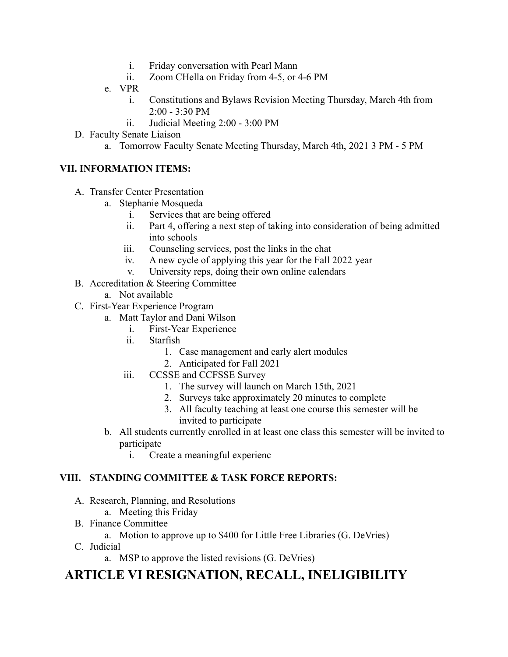- i. Friday conversation with Pearl Mann
- ii. Zoom CHella on Friday from 4-5, or 4-6 PM
- e. VPR
	- i. Constitutions and Bylaws Revision Meeting Thursday, March 4th from  $2:00 - 3:30 \text{ PM}$
	- ii. Judicial Meeting 2:00 3:00 PM
- D. Faculty Senate Liaison
	- a. Tomorrow Faculty Senate Meeting Thursday, March 4th, 2021 3 PM 5 PM

## **VII. INFORMATION ITEMS:**

- A. Transfer Center Presentation
	- a. Stephanie Mosqueda
		- i. Services that are being offered
		- ii. Part 4, offering a next step of taking into consideration of being admitted into schools
		- iii. Counseling services, post the links in the chat
		- iv. A new cycle of applying this year for the Fall 2022 year
		- v. University reps, doing their own online calendars
- B. Accreditation & Steering Committee
	- a. Not available
- C. First-Year Experience Program
	- a. Matt Taylor and Dani Wilson
		- i. First-Year Experience
		- ii. Starfish
			- 1. Case management and early alert modules
			- 2. Anticipated for Fall 2021
		- iii. CCSSE and CCFSSE Survey
			- 1. The survey will launch on March 15th, 2021
			- 2. Surveys take approximately 20 minutes to complete
			- 3. All faculty teaching at least one course this semester will be invited to participate
	- b. All students currently enrolled in at least one class this semester will be invited to participate
		- i. Create a meaningful experienc

## **VIII. STANDING COMMITTEE & TASK FORCE REPORTS:**

- A. Research, Planning, and Resolutions
	- a. Meeting this Friday
- B. Finance Committee
	- a. Motion to approve up to \$400 for Little Free Libraries (G. DeVries)
- C. Judicial
	- a. MSP to approve the listed revisions (G. DeVries)

## **ARTICLE VI RESIGNATION, RECALL, INELIGIBILITY**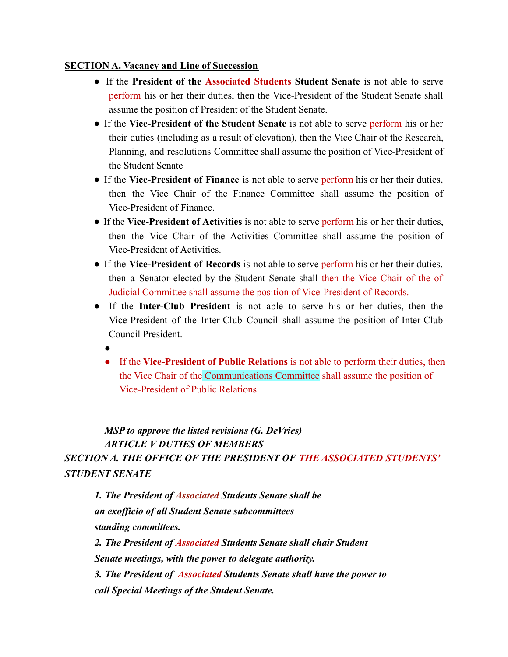## **SECTION A. Vacancy and Line of Succession**

- If the **President of the Associated Students Student Senate** is not able to serve perform his or her their duties, then the Vice-President of the Student Senate shall assume the position of President of the Student Senate.
- If the **Vice-President of the Student Senate** is not able to serve perform his or her their duties (including as a result of elevation), then the Vice Chair of the Research, Planning, and resolutions Committee shall assume the position of Vice-President of the Student Senate
- If the **Vice-President of Finance** is not able to serve perform his or her their duties, then the Vice Chair of the Finance Committee shall assume the position of Vice-President of Finance.
- If the **Vice-President of Activities** is not able to serve perform his or her their duties, then the Vice Chair of the Activities Committee shall assume the position of Vice-President of Activities.
- If the **Vice-President of Records** is not able to serve perform his or her their duties, then a Senator elected by the Student Senate shall then the Vice Chair of the of Judicial Committee shall assume the position of Vice-President of Records.
- If the **Inter-Club President** is not able to serve his or her duties, then the Vice-President of the Inter-Club Council shall assume the position of Inter-Club Council President.
	- ●
	- If the **Vice-President of Public Relations** is not able to perform their duties, then the Vice Chair of the Communications Committee shall assume the position of Vice-President of Public Relations.

## *MSP to approve the listed revisions (G. DeVries) ARTICLE V DUTIES OF MEMBERS SECTION A. THE OFFICE OF THE PRESIDENT OF THE ASSOCIATED STUDENTS' STUDENT SENATE*

*1. The President of Associated Students Senate shall be an exofficio of all Student Senate subcommittees standing committees. 2. The President of Associated Students Senate shall chair Student Senate meetings, with the power to delegate authority. 3. The President of Associated Students Senate shall have the power to call Special Meetings of the Student Senate.*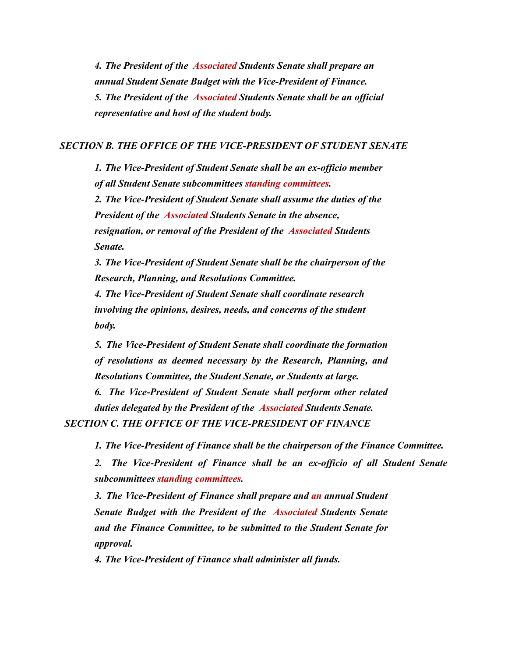*4. The President of the Associated Students Senate shall prepare an annual Student Senate Budget with the Vice-President of Finance. 5. The President of the Associated Students Senate shall be an official representative and host of the student body.*

#### *SECTION B. THE OFFICE OF THE VICE-PRESIDENT OF STUDENT SENATE*

*1. The Vice-President of Student Senate shall be an ex-officio member of all Student Senate subcommittees standing committees.*

*2. The Vice-President of Student Senate shall assume the duties of the President of the Associated Students Senate in the absence, resignation, or removal of the President of the Associated Students Senate.*

*3. The Vice-President of Student Senate shall be the chairperson of the Research, Planning, and Resolutions Committee.*

*4. The Vice-President of Student Senate shall coordinate research involving the opinions, desires, needs, and concerns of the student body.*

*5. The Vice-President of Student Senate shall coordinate the formation of resolutions as deemed necessary by the Research, Planning, and Resolutions Committee, the Student Senate, or Students at large.*

*6. The Vice-President of Student Senate shall perform other related duties delegated by the President of the Associated Students Senate.*

*SECTION C. THE OFFICE OF THE VICE-PRESIDENT OF FINANCE*

*1. The Vice-President of Finance shall be the chairperson of the Finance Committee.*

*2. The Vice-President of Finance shall be an ex-officio of all Student Senate subcommittees standing committees.*

*3. The Vice-President of Finance shall prepare and an annual Student Senate Budget with the President of the Associated Students Senate and the Finance Committee, to be submitted to the Student Senate for approval.*

*4. The Vice-President of Finance shall administer all funds.*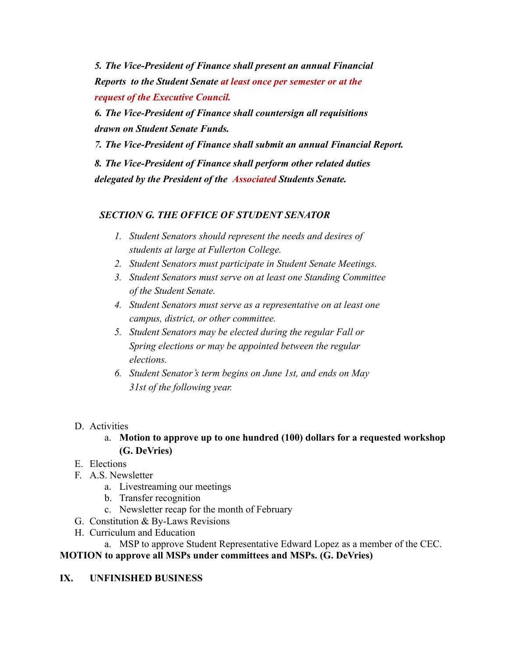*5. The Vice-President of Finance shall present an annual Financial Reports to the Student Senate at least once per semester or at the request of the Executive Council.*

*6. The Vice-President of Finance shall countersign all requisitions drawn on Student Senate Funds.*

*7. The Vice-President of Finance shall submit an annual Financial Report.*

*8. The Vice-President of Finance shall perform other related duties delegated by the President of the Associated Students Senate.*

## *SECTION G. THE OFFICE OF STUDENT SENATOR*

- *1. Student Senators should represent the needs and desires of students at large at Fullerton College.*
- *2. Student Senators must participate in Student Senate Meetings.*
- *3. Student Senators must serve on at least one Standing Committee of the Student Senate.*
- *4. Student Senators must serve as a representative on at least one campus, district, or other committee.*
- *5. Student Senators may be elected during the regular Fall or Spring elections or may be appointed between the regular elections.*
- *6. Student Senator's term begins on June 1st, and ends on May 31st of the following year.*
- D. Activities
	- a. **Motion to approve up to one hundred (100) dollars for a requested workshop (G. DeVries)**
- E. Elections
- F. A.S. Newsletter
	- a. Livestreaming our meetings
	- b. Transfer recognition
	- c. Newsletter recap for the month of February
- G. Constitution & By-Laws Revisions
- H. Curriculum and Education

a. MSP to approve Student Representative Edward Lopez as a member of the CEC.

**MOTION to approve all MSPs under committees and MSPs. (G. DeVries)**

**IX. UNFINISHED BUSINESS**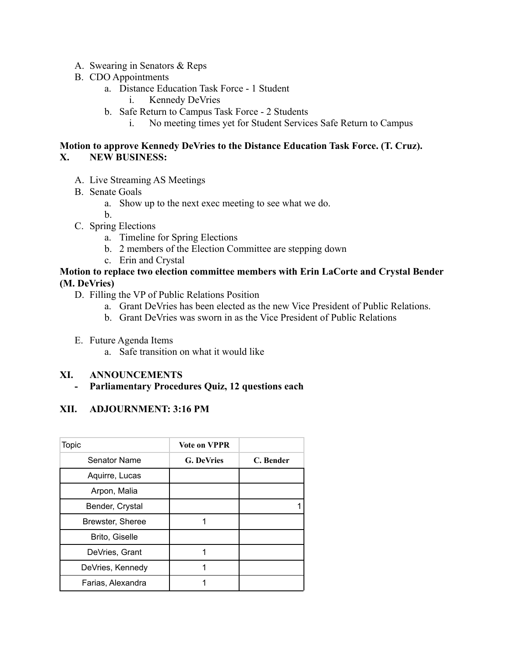- A. Swearing in Senators & Reps
- B. CDO Appointments
	- a. Distance Education Task Force 1 Student
		- i. Kennedy DeVries
	- b. Safe Return to Campus Task Force 2 Students
		- i. No meeting times yet for Student Services Safe Return to Campus

### **Motion to approve Kennedy DeVries to the Distance Education Task Force. (T. Cruz). X. NEW BUSINESS:**

- A. Live Streaming AS Meetings
- B. Senate Goals
	- a. Show up to the next exec meeting to see what we do.
	- b.
- C. Spring Elections
	- a. Timeline for Spring Elections
	- b. 2 members of the Election Committee are stepping down
	- c. Erin and Crystal

### **Motion to replace two election committee members with Erin LaCorte and Crystal Bender (M. DeVries)**

- D. Filling the VP of Public Relations Position
	- a. Grant DeVries has been elected as the new Vice President of Public Relations.
	- b. Grant DeVries was sworn in as the Vice President of Public Relations
- E. Future Agenda Items
	- a. Safe transition on what it would like

#### **XI. ANNOUNCEMENTS**

**- Parliamentary Procedures Quiz, 12 questions each**

## **XII. ADJOURNMENT: 3:16 PM**

| <b>Topic</b>          | <b>Vote on VPPR</b> |           |
|-----------------------|---------------------|-----------|
| Senator Name          | <b>G. DeVries</b>   | C. Bender |
| Aquirre, Lucas        |                     |           |
| Arpon, Malia          |                     |           |
| Bender, Crystal       |                     |           |
| Brewster, Sheree      |                     |           |
| <b>Brito, Giselle</b> |                     |           |
| DeVries, Grant        | 1                   |           |
| DeVries, Kennedy      |                     |           |
| Farias, Alexandra     |                     |           |